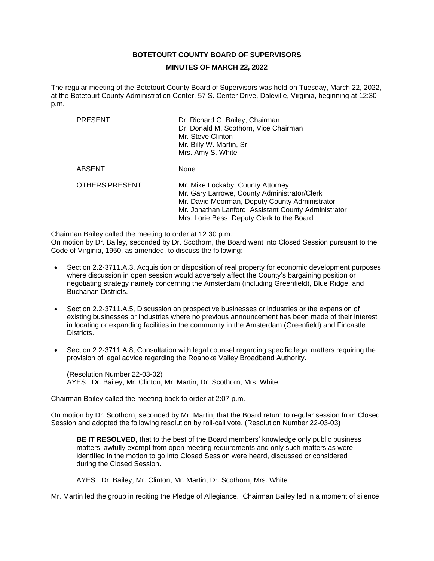# **BOTETOURT COUNTY BOARD OF SUPERVISORS**

#### **MINUTES OF MARCH 22, 2022**

The regular meeting of the Botetourt County Board of Supervisors was held on Tuesday, March 22, 2022, at the Botetourt County Administration Center, 57 S. Center Drive, Daleville, Virginia, beginning at 12:30 p.m.

| PRESENT:               | Dr. Richard G. Bailey, Chairman<br>Dr. Donald M. Scothorn, Vice Chairman<br>Mr. Steve Clinton<br>Mr. Billy W. Martin, Sr.<br>Mrs. Amy S. White                                                                                            |
|------------------------|-------------------------------------------------------------------------------------------------------------------------------------------------------------------------------------------------------------------------------------------|
| ABSENT:                | None                                                                                                                                                                                                                                      |
| <b>OTHERS PRESENT:</b> | Mr. Mike Lockaby, County Attorney<br>Mr. Gary Larrowe, County Administrator/Clerk<br>Mr. David Moorman, Deputy County Administrator<br>Mr. Jonathan Lanford, Assistant County Administrator<br>Mrs. Lorie Bess, Deputy Clerk to the Board |

Chairman Bailey called the meeting to order at 12:30 p.m.

On motion by Dr. Bailey, seconded by Dr. Scothorn, the Board went into Closed Session pursuant to the Code of Virginia, 1950, as amended, to discuss the following:

- Section 2.2-3711.A.3, Acquisition or disposition of real property for economic development purposes where discussion in open session would adversely affect the County's bargaining position or negotiating strategy namely concerning the Amsterdam (including Greenfield), Blue Ridge, and Buchanan Districts.
- Section 2.2-3711.A.5, Discussion on prospective businesses or industries or the expansion of existing businesses or industries where no previous announcement has been made of their interest in locating or expanding facilities in the community in the Amsterdam (Greenfield) and Fincastle Districts.
- Section 2.2-3711.A.8, Consultation with legal counsel regarding specific legal matters requiring the provision of legal advice regarding the Roanoke Valley Broadband Authority.

(Resolution Number 22-03-02) AYES: Dr. Bailey, Mr. Clinton, Mr. Martin, Dr. Scothorn, Mrs. White

Chairman Bailey called the meeting back to order at 2:07 p.m.

On motion by Dr. Scothorn, seconded by Mr. Martin, that the Board return to regular session from Closed Session and adopted the following resolution by roll-call vote. (Resolution Number 22-03-03)

**BE IT RESOLVED,** that to the best of the Board members' knowledge only public business matters lawfully exempt from open meeting requirements and only such matters as were identified in the motion to go into Closed Session were heard, discussed or considered during the Closed Session.

AYES: Dr. Bailey, Mr. Clinton, Mr. Martin, Dr. Scothorn, Mrs. White

Mr. Martin led the group in reciting the Pledge of Allegiance. Chairman Bailey led in a moment of silence.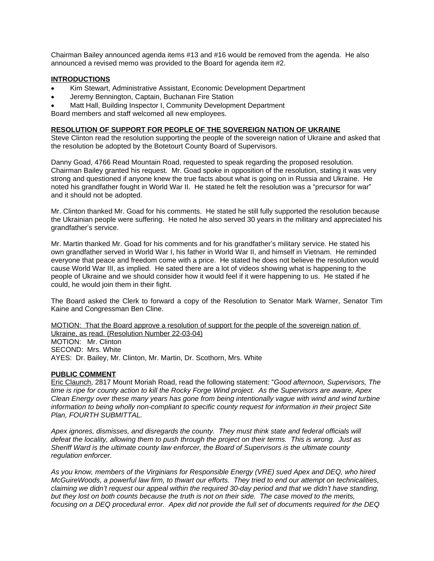Chairman Bailey announced agenda items #13 and #16 would be removed from the agenda. He also announced a revised memo was provided to the Board for agenda item #2.

### **INTRODUCTIONS**

- Kim Stewart, Administrative Assistant, Economic Development Department
- Jeremy Bennington, Captain, Buchanan Fire Station
- Matt Hall, Building Inspector I, Community Development Department

Board members and staff welcomed all new employees.

#### **RESOLUTION OF SUPPORT FOR PEOPLE OF THE SOVEREIGN NATION OF UKRAINE**

Steve Clinton read the resolution supporting the people of the sovereign nation of Ukraine and asked that the resolution be adopted by the Botetourt County Board of Supervisors.

Danny Goad, 4766 Read Mountain Road, requested to speak regarding the proposed resolution. Chairman Bailey granted his request. Mr. Goad spoke in opposition of the resolution, stating it was very strong and questioned if anyone knew the true facts about what is going on in Russia and Ukraine. He noted his grandfather fought in World War II. He stated he felt the resolution was a "precursor for war" and it should not be adopted.

Mr. Clinton thanked Mr. Goad for his comments. He stated he still fully supported the resolution because the Ukrainian people were suffering. He noted he also served 30 years in the military and appreciated his grandfather's service.

Mr. Martin thanked Mr. Goad for his comments and for his grandfather's military service. He stated his own grandfather served in World War I, his father in World War II, and himself in Vietnam. He reminded everyone that peace and freedom come with a price. He stated he does not believe the resolution would cause World War III, as implied. He sated there are a lot of videos showing what is happening to the people of Ukraine and we should consider how it would feel if it were happening to us. He stated if he could, he would join them in their fight.

The Board asked the Clerk to forward a copy of the Resolution to Senator Mark Warner, Senator Tim Kaine and Congressman Ben Cline.

MOTION: That the Board approve a resolution of support for the people of the sovereign nation of Ukraine, as read. (Resolution Number 22-03-04) MOTION: Mr. Clinton SECOND: Mrs. White AYES: Dr. Bailey, Mr. Clinton, Mr. Martin, Dr. Scothorn, Mrs. White

# **PUBLIC COMMENT**

Eric Claunch, 2817 Mount Moriah Road, read the following statement: "*Good afternoon, Supervisors, The time is ripe for county action to kill the Rocky Forge Wind project. As the Supervisors are aware, Apex Clean Energy over these many years has gone from being intentionally vague with wind and wind turbine information to being wholly non-compliant to specific county request for information in their project Site Plan, FOURTH SUBMITTAL.*

*Apex ignores, dismisses, and disregards the county. They must think state and federal officials will defeat the locality, allowing them to push through the project on their terms. This is wrong. Just as Sheriff Ward is the ultimate county law enforcer, the Board of Supervisors is the ultimate county regulation enforcer.*

*As you know, members of the Virginians for Responsible Energy (VRE) sued Apex and DEQ, who hired McGuireWoods, a powerful law firm, to thwart our efforts. They tried to end our attempt on technicalities, claiming we didn't request our appeal within the required 30-day period and that we didn't have standing, but they lost on both counts because the truth is not on their side. The case moved to the merits, focusing on a DEQ procedural error. Apex did not provide the full set of documents required for the DEQ*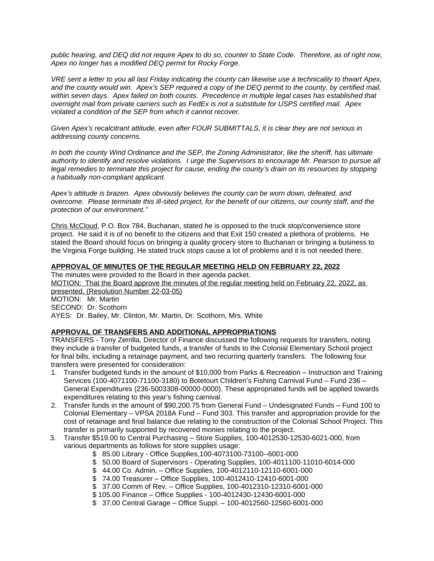*public hearing, and DEQ did not require Apex to do so, counter to State Code. Therefore, as of right now, Apex no longer has a modified DEQ permit for Rocky Forge.*

*VRE sent a letter to you all last Friday indicating the county can likewise use a technicality to thwart Apex, and the county would win. Apex's SEP required a copy of the DEQ permit to the county, by certified mail, within seven days. Apex failed on both counts. Precedence in multiple legal cases has established that overnight mail from private carriers such as FedEx is not a substitute for USPS certified mail. Apex violated a condition of the SEP from which it cannot recover.*

*Given Apex's recalcitrant attitude, even after FOUR SUBMITTALS, it is clear they are not serious in addressing county concerns.*

*In both the county Wind Ordinance and the SEP, the Zoning Administrator, like the sheriff, has ultimate authority to identify and resolve violations. I urge the Supervisors to encourage Mr. Pearson to pursue all legal remedies to terminate this project for cause, ending the county's drain on its resources by stopping a habitually non-compliant applicant.*

*Apex's attitude is brazen. Apex obviously believes the county can be worn down, defeated, and overcome. Please terminate this ill-sited project, for the benefit of our citizens, our county staff, and the protection of our environment."*

Chris McCloud, P.O. Box 784, Buchanan, stated he is opposed to the truck stop/convenience store project. He said it is of no benefit to the citizens and that Exit 150 created a plethora of problems. He stated the Board should focus on bringing a quality grocery store to Buchanan or bringing a business to the Virginia Forge building. He stated truck stops cause a lot of problems and it is not needed there.

### **APPROVAL OF MINUTES OF THE REGULAR MEETING HELD ON FEBRUARY 22, 2022**

The minutes were provided to the Board in their agenda packet. MOTION: That the Board approve the minutes of the regular meeting held on February 22, 2022, as presented. (Resolution Number 22-03-05) MOTION: Mr. Martin SECOND: Dr. Scothorn AYES: Dr. Bailey, Mr. Clinton, Mr. Martin, Dr. Scothorn, Mrs. White

# **APPROVAL OF TRANSFERS AND ADDITIONAL APPROPRIATIONS**

TRANSFERS - Tony Zerrilla, Director of Finance discussed the following requests for transfers, noting they include a transfer of budgeted funds, a transfer of funds to the Colonial Elementary School project for final bills, including a retainage payment, and two recurring quarterly transfers. The following four transfers were presented for consideration:

- 1. Transfer budgeted funds in the amount of \$10,000 from Parks & Recreation Instruction and Training Services (100-4071100-71100-3180) to Botetourt Children's Fishing Carnival Fund – Fund 236 – General Expenditures (236-5003308-00000-0000). These appropriated funds will be applied towards expenditures relating to this year's fishing carnival.
- 2. Transfer funds in the amount of \$90,200.75 from General Fund Undesignated Funds Fund 100 to Colonial Elementary – VPSA 2018A Fund – Fund 303. This transfer and appropriation provide for the cost of retainage and final balance due relating to the construction of the Colonial School Project. This transfer is primarily supported by recovered monies relating to the project.
- 3. Transfer \$519.00 to Central Purchasing Store Supplies, 100-4012530-12530-6021-000, from various departments as follows for store supplies usage:
	- \$ 85.00 Library Office Supplies,100-4073100-73100--6001-000
	- \$ 50.00 Board of Supervisors Operating Supplies, 100-4011100-11010-6014-000
	- \$ 44.00 Co. Admin. Office Supplies, 100-4012110-12110-6001-000
	- \$ 74.00 Treasurer Office Supplies, 100-4012410-12410-6001-000
	- \$ 37.00 Comm of Rev. Office Supplies, 100-4012310-12310-6001-000
	- \$ 105.00 Finance Office Supplies 100-4012430-12430-6001-000
	- \$ 37.00 Central Garage Office Suppl. 100-4012560-12560-6001-000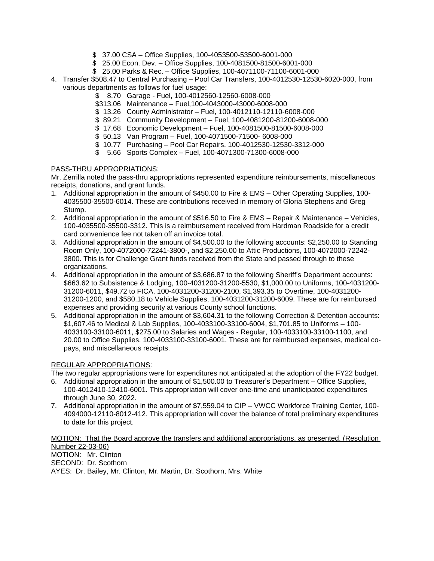- \$ 37.00 CSA Office Supplies, 100-4053500-53500-6001-000
- \$ 25.00 Econ. Dev. Office Supplies, 100-4081500-81500-6001-000
- \$ 25.00 Parks & Rec. Office Supplies, 100-4071100-71100-6001-000
- 4. Transfer \$508.47 to Central Purchasing Pool Car Transfers, 100-4012530-12530-6020-000, from various departments as follows for fuel usage:
	- \$ 8.70 Garage Fuel, 100-4012560-12560-6008-000
	- \$313.06 Maintenance Fuel,100-4043000-43000-6008-000
	- \$ 13.26 County Administrator Fuel, 100-4012110-12110-6008-000
	- \$ 89.21 Community Development Fuel, 100-4081200-81200-6008-000
	- \$ 17.68 Economic Development Fuel, 100-4081500-81500-6008-000
	- \$ 50.13 Van Program Fuel, 100-4071500-71500- 6008-000
	- \$ 10.77 Purchasing Pool Car Repairs, 100-4012530-12530-3312-000
	- \$ 5.66 Sports Complex Fuel, 100-4071300-71300-6008-000

### PASS-THRU APPROPRIATIONS:

Mr. Zerrilla noted the pass-thru appropriations represented expenditure reimbursements, miscellaneous receipts, donations, and grant funds.

- 1. Additional appropriation in the amount of \$450.00 to Fire & EMS Other Operating Supplies, 100- 4035500-35500-6014. These are contributions received in memory of Gloria Stephens and Greg Stump.
- 2. Additional appropriation in the amount of \$516.50 to Fire & EMS Repair & Maintenance Vehicles, 100-4035500-35500-3312. This is a reimbursement received from Hardman Roadside for a credit card convenience fee not taken off an invoice total.
- 3. Additional appropriation in the amount of \$4,500.00 to the following accounts: \$2,250.00 to Standing Room Only, 100-4072000-72241-3800-, and \$2,250.00 to Attic Productions, 100-4072000-72242- 3800. This is for Challenge Grant funds received from the State and passed through to these organizations.
- 4. Additional appropriation in the amount of \$3,686.87 to the following Sheriff's Department accounts: \$663.62 to Subsistence & Lodging, 100-4031200-31200-5530, \$1,000.00 to Uniforms, 100-4031200- 31200-6011, \$49.72 to FICA, 100-4031200-31200-2100, \$1,393.35 to Overtime, 100-4031200- 31200-1200, and \$580.18 to Vehicle Supplies, 100-4031200-31200-6009. These are for reimbursed expenses and providing security at various County school functions.
- 5. Additional appropriation in the amount of \$3,604.31 to the following Correction & Detention accounts: \$1,607.46 to Medical & Lab Supplies, 100-4033100-33100-6004, \$1,701.85 to Uniforms – 100- 4033100-33100-6011, \$275.00 to Salaries and Wages - Regular, 100-4033100-33100-1100, and 20.00 to Office Supplies, 100-4033100-33100-6001. These are for reimbursed expenses, medical copays, and miscellaneous receipts.

# REGULAR APPROPRIATIONS:

The two regular appropriations were for expenditures not anticipated at the adoption of the FY22 budget.

- 6. Additional appropriation in the amount of \$1,500.00 to Treasurer's Department Office Supplies, 100-4012410-12410-6001. This appropriation will cover one-time and unanticipated expenditures through June 30, 2022.
- 7. Additional appropriation in the amount of \$7,559.04 to CIP VWCC Workforce Training Center, 100- 4094000-12110-8012-412. This appropriation will cover the balance of total preliminary expenditures to date for this project.

MOTION: That the Board approve the transfers and additional appropriations, as presented. (Resolution Number 22-03-06) MOTION: Mr. Clinton

SECOND: Dr. Scothorn

AYES: Dr. Bailey, Mr. Clinton, Mr. Martin, Dr. Scothorn, Mrs. White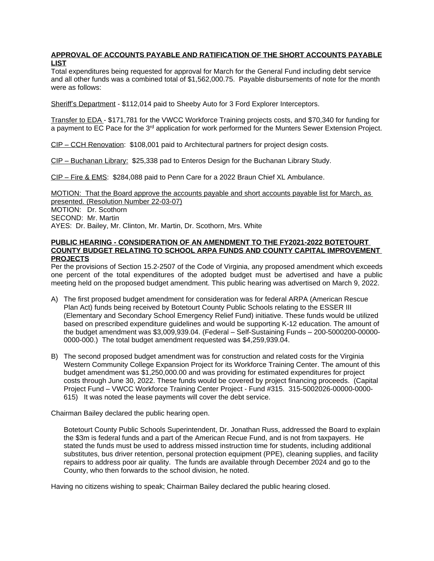### **APPROVAL OF ACCOUNTS PAYABLE AND RATIFICATION OF THE SHORT ACCOUNTS PAYABLE LIST**

Total expenditures being requested for approval for March for the General Fund including debt service and all other funds was a combined total of \$1,562,000.75. Payable disbursements of note for the month were as follows:

Sheriff's Department - \$112,014 paid to Sheeby Auto for 3 Ford Explorer Interceptors.

Transfer to EDA - \$171,781 for the VWCC Workforce Training projects costs, and \$70,340 for funding for a payment to EC Pace for the 3<sup>rd</sup> application for work performed for the Munters Sewer Extension Project.

CIP – CCH Renovation: \$108,001 paid to Architectural partners for project design costs.

CIP – Buchanan Library: \$25,338 pad to Enteros Design for the Buchanan Library Study.

CIP – Fire & EMS: \$284,088 paid to Penn Care for a 2022 Braun Chief XL Ambulance.

MOTION: That the Board approve the accounts payable and short accounts payable list for March, as presented. (Resolution Number 22-03-07)

MOTION: Dr. Scothorn SECOND: Mr. Martin

AYES: Dr. Bailey, Mr. Clinton, Mr. Martin, Dr. Scothorn, Mrs. White

#### **PUBLIC HEARING - CONSIDERATION OF AN AMENDMENT TO THE FY2021-2022 BOTETOURT COUNTY BUDGET RELATING TO SCHOOL ARPA FUNDS AND COUNTY CAPITAL IMPROVEMENT PROJECTS**

Per the provisions of Section 15.2-2507 of the Code of Virginia, any proposed amendment which exceeds one percent of the total expenditures of the adopted budget must be advertised and have a public meeting held on the proposed budget amendment. This public hearing was advertised on March 9, 2022.

- A) The first proposed budget amendment for consideration was for federal ARPA (American Rescue Plan Act) funds being received by Botetourt County Public Schools relating to the ESSER III (Elementary and Secondary School Emergency Relief Fund) initiative. These funds would be utilized based on prescribed expenditure guidelines and would be supporting K-12 education. The amount of the budget amendment was \$3,009,939.04. (Federal – Self-Sustaining Funds – 200-5000200-00000- 0000-000.) The total budget amendment requested was \$4,259,939.04.
- B) The second proposed budget amendment was for construction and related costs for the Virginia Western Community College Expansion Project for its Workforce Training Center. The amount of this budget amendment was \$1,250,000.00 and was providing for estimated expenditures for project costs through June 30, 2022. These funds would be covered by project financing proceeds. (Capital Project Fund – VWCC Workforce Training Center Project - Fund #315. 315-5002026-00000-0000- 615) It was noted the lease payments will cover the debt service.

Chairman Bailey declared the public hearing open.

Botetourt County Public Schools Superintendent, Dr. Jonathan Russ, addressed the Board to explain the \$3m is federal funds and a part of the American Recue Fund, and is not from taxpayers. He stated the funds must be used to address missed instruction time for students, including additional substitutes, bus driver retention, personal protection equipment (PPE), cleaning supplies, and facility repairs to address poor air quality. The funds are available through December 2024 and go to the County, who then forwards to the school division, he noted.

Having no citizens wishing to speak; Chairman Bailey declared the public hearing closed.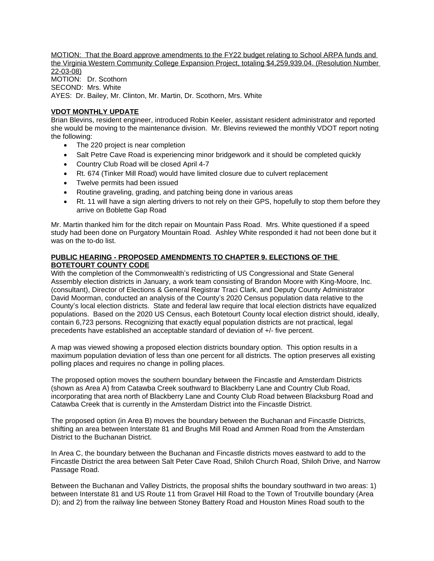MOTION: That the Board approve amendments to the FY22 budget relating to School ARPA funds and the Virginia Western Community College Expansion Project, totaling \$4,259,939.04. (Resolution Number 22-03-08) MOTION: Dr. Scothorn SECOND: Mrs. White AYES: Dr. Bailey, Mr. Clinton, Mr. Martin, Dr. Scothorn, Mrs. White

# **VDOT MONTHLY UPDATE**

Brian Blevins, resident engineer, introduced Robin Keeler, assistant resident administrator and reported she would be moving to the maintenance division. Mr. Blevins reviewed the monthly VDOT report noting the following:

- The 220 project is near completion
- Salt Petre Cave Road is experiencing minor bridgework and it should be completed quickly
- Country Club Road will be closed April 4-7
- Rt. 674 (Tinker Mill Road) would have limited closure due to culvert replacement
- Twelve permits had been issued
- Routine graveling, grading, and patching being done in various areas
- Rt. 11 will have a sign alerting drivers to not rely on their GPS, hopefully to stop them before they arrive on Boblette Gap Road

Mr. Martin thanked him for the ditch repair on Mountain Pass Road. Mrs. White questioned if a speed study had been done on Purgatory Mountain Road. Ashley White responded it had not been done but it was on the to-do list.

### **PUBLIC HEARING - PROPOSED AMENDMENTS TO CHAPTER 9. ELECTIONS OF THE BOTETOURT COUNTY CODE**

With the completion of the Commonwealth's redistricting of US Congressional and State General Assembly election districts in January, a work team consisting of Brandon Moore with King-Moore, Inc. (consultant), Director of Elections & General Registrar Traci Clark, and Deputy County Administrator David Moorman, conducted an analysis of the County's 2020 Census population data relative to the County's local election districts. State and federal law require that local election districts have equalized populations. Based on the 2020 US Census, each Botetourt County local election district should, ideally, contain 6,723 persons. Recognizing that exactly equal population districts are not practical, legal precedents have established an acceptable standard of deviation of +/- five percent.

A map was viewed showing a proposed election districts boundary option. This option results in a maximum population deviation of less than one percent for all districts. The option preserves all existing polling places and requires no change in polling places.

The proposed option moves the southern boundary between the Fincastle and Amsterdam Districts (shown as Area A) from Catawba Creek southward to Blackberry Lane and Country Club Road, incorporating that area north of Blackberry Lane and County Club Road between Blacksburg Road and Catawba Creek that is currently in the Amsterdam District into the Fincastle District.

The proposed option (in Area B) moves the boundary between the Buchanan and Fincastle Districts, shifting an area between Interstate 81 and Brughs Mill Road and Ammen Road from the Amsterdam District to the Buchanan District.

In Area C, the boundary between the Buchanan and Fincastle districts moves eastward to add to the Fincastle District the area between Salt Peter Cave Road, Shiloh Church Road, Shiloh Drive, and Narrow Passage Road.

Between the Buchanan and Valley Districts, the proposal shifts the boundary southward in two areas: 1) between Interstate 81 and US Route 11 from Gravel Hill Road to the Town of Troutville boundary (Area D); and 2) from the railway line between Stoney Battery Road and Houston Mines Road south to the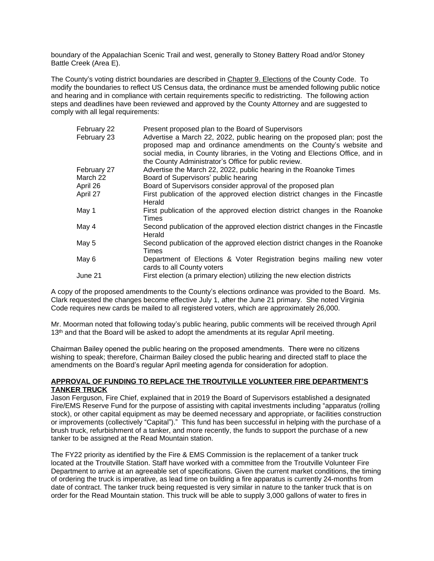boundary of the Appalachian Scenic Trail and west, generally to Stoney Battery Road and/or Stoney Battle Creek (Area E).

The County's voting district boundaries are described in Chapter 9. Elections of the County Code. To modify the boundaries to reflect US Census data, the ordinance must be amended following public notice and hearing and in compliance with certain requirements specific to redistricting. The following action steps and deadlines have been reviewed and approved by the County Attorney and are suggested to comply with all legal requirements:

| February 22 | Present proposed plan to the Board of Supervisors                             |  |
|-------------|-------------------------------------------------------------------------------|--|
| February 23 | Advertise a March 22, 2022, public hearing on the proposed plan; post the     |  |
|             | proposed map and ordinance amendments on the County's website and             |  |
|             | social media, in County libraries, in the Voting and Elections Office, and in |  |
|             | the County Administrator's Office for public review.                          |  |
| February 27 | Advertise the March 22, 2022, public hearing in the Roanoke Times             |  |
| March 22    | Board of Supervisors' public hearing                                          |  |
| April 26    | Board of Supervisors consider approval of the proposed plan                   |  |
| April 27    | First publication of the approved election district changes in the Fincastle  |  |
|             | Herald                                                                        |  |
| May 1       | First publication of the approved election district changes in the Roanoke    |  |
|             | Times                                                                         |  |
| May 4       | Second publication of the approved election district changes in the Fincastle |  |
|             | Herald                                                                        |  |
| May 5       | Second publication of the approved election district changes in the Roanoke   |  |
|             | Times                                                                         |  |
| May 6       | Department of Elections & Voter Registration begins mailing new voter         |  |
|             | cards to all County voters                                                    |  |
| June 21     | First election (a primary election) utilizing the new election districts      |  |
|             |                                                                               |  |

A copy of the proposed amendments to the County's elections ordinance was provided to the Board. Ms. Clark requested the changes become effective July 1, after the June 21 primary. She noted Virginia Code requires new cards be mailed to all registered voters, which are approximately 26,000.

Mr. Moorman noted that following today's public hearing, public comments will be received through April 13<sup>th</sup> and that the Board will be asked to adopt the amendments at its regular April meeting.

Chairman Bailey opened the public hearing on the proposed amendments. There were no citizens wishing to speak; therefore, Chairman Bailey closed the public hearing and directed staff to place the amendments on the Board's regular April meeting agenda for consideration for adoption.

#### **APPROVAL OF FUNDING TO REPLACE THE TROUTVILLE VOLUNTEER FIRE DEPARTMENT'S TANKER TRUCK**

Jason Ferguson, Fire Chief, explained that in 2019 the Board of Supervisors established a designated Fire/EMS Reserve Fund for the purpose of assisting with capital investments including "apparatus (rolling stock), or other capital equipment as may be deemed necessary and appropriate, or facilities construction or improvements (collectively "Capital")." This fund has been successful in helping with the purchase of a brush truck, refurbishment of a tanker, and more recently, the funds to support the purchase of a new tanker to be assigned at the Read Mountain station.

The FY22 priority as identified by the Fire & EMS Commission is the replacement of a tanker truck located at the Troutville Station. Staff have worked with a committee from the Troutville Volunteer Fire Department to arrive at an agreeable set of specifications. Given the current market conditions, the timing of ordering the truck is imperative, as lead time on building a fire apparatus is currently 24-months from date of contract. The tanker truck being requested is very similar in nature to the tanker truck that is on order for the Read Mountain station. This truck will be able to supply 3,000 gallons of water to fires in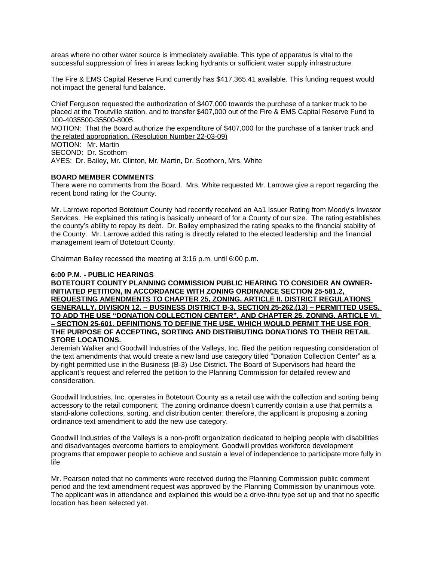areas where no other water source is immediately available. This type of apparatus is vital to the successful suppression of fires in areas lacking hydrants or sufficient water supply infrastructure.

The Fire & EMS Capital Reserve Fund currently has \$417,365.41 available. This funding request would not impact the general fund balance.

Chief Ferguson requested the authorization of \$407,000 towards the purchase of a tanker truck to be placed at the Troutville station, and to transfer \$407,000 out of the Fire & EMS Capital Reserve Fund to 100-4035500-35500-8005.

MOTION: That the Board authorize the expenditure of \$407,000 for the purchase of a tanker truck and the related appropriation. (Resolution Number 22-03-09)

MOTION: Mr. Martin

SECOND: Dr. Scothorn

AYES: Dr. Bailey, Mr. Clinton, Mr. Martin, Dr. Scothorn, Mrs. White

### **BOARD MEMBER COMMENTS**

There were no comments from the Board. Mrs. White requested Mr. Larrowe give a report regarding the recent bond rating for the County.

Mr. Larrowe reported Botetourt County had recently received an Aa1 Issuer Rating from Moody's Investor Services. He explained this rating is basically unheard of for a County of our size. The rating establishes the county's ability to repay its debt. Dr. Bailey emphasized the rating speaks to the financial stability of the County. Mr. Larrowe added this rating is directly related to the elected leadership and the financial management team of Botetourt County.

Chairman Bailey recessed the meeting at 3:16 p.m. until 6:00 p.m.

#### **6:00 P.M. - PUBLIC HEARINGS**

**BOTETOURT COUNTY PLANNING COMMISSION PUBLIC HEARING TO CONSIDER AN OWNER-INITIATED PETITION, IN ACCORDANCE WITH ZONING ORDINANCE SECTION 25-581.2, REQUESTING AMENDMENTS TO CHAPTER 25, ZONING, ARTICLE II. DISTRICT REGULATIONS GENERALLY, DIVISION 12. – BUSINESS DISTRICT B-3, SECTION 25-262.(13) – PERMITTED USES, TO ADD THE USE "DONATION COLLECTION CENTER", AND CHAPTER 25, ZONING, ARTICLE VI. – SECTION 25-601. DEFINITIONS TO DEFINE THE USE, WHICH WOULD PERMIT THE USE FOR THE PURPOSE OF ACCEPTING, SORTING AND DISTRIBUTING DONATIONS TO THEIR RETAIL STORE LOCATIONS.** 

Jeremiah Walker and Goodwill Industries of the Valleys, Inc. filed the petition requesting consideration of the text amendments that would create a new land use category titled "Donation Collection Center" as a by-right permitted use in the Business (B-3) Use District. The Board of Supervisors had heard the applicant's request and referred the petition to the Planning Commission for detailed review and consideration.

Goodwill Industries, Inc. operates in Botetourt County as a retail use with the collection and sorting being accessory to the retail component. The zoning ordinance doesn't currently contain a use that permits a stand-alone collections, sorting, and distribution center; therefore, the applicant is proposing a zoning ordinance text amendment to add the new use category.

Goodwill Industries of the Valleys is a non-profit organization dedicated to helping people with disabilities and disadvantages overcome barriers to employment. Goodwill provides workforce development programs that empower people to achieve and sustain a level of independence to participate more fully in life

Mr. Pearson noted that no comments were received during the Planning Commission public comment period and the text amendment request was approved by the Planning Commission by unanimous vote. The applicant was in attendance and explained this would be a drive-thru type set up and that no specific location has been selected yet.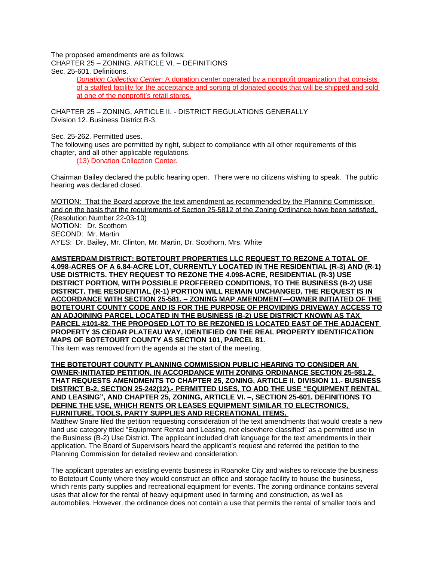The proposed amendments are as follows:

CHAPTER 25 – ZONING, ARTICLE VI. – DEFINITIONS

Sec. 25-601. Definitions.

*Donation Collection Center*: A donation center operated by a nonprofit organization that consists of a staffed facility for the acceptance and sorting of donated goods that will be shipped and sold at one of the nonprofit's retail stores.

CHAPTER 25 – ZONING, ARTICLE II. - DISTRICT REGULATIONS GENERALLY Division 12. Business District B-3.

Sec. 25-262. Permitted uses.

The following uses are permitted by right, subject to compliance with all other requirements of this chapter, and all other applicable regulations.

(13) Donation Collection Center.

Chairman Bailey declared the public hearing open. There were no citizens wishing to speak. The public hearing was declared closed.

MOTION: That the Board approve the text amendment as recommended by the Planning Commission and on the basis that the requirements of Section 25-5812 of the Zoning Ordinance have been satisfied. (Resolution Number 22-03-10) MOTION: Dr. Scothorn SECOND: Mr. Martin AYES: Dr. Bailey, Mr. Clinton, Mr. Martin, Dr. Scothorn, Mrs. White

**AMSTERDAM DISTRICT: BOTETOURT PROPERTIES LLC REQUEST TO REZONE A TOTAL OF 4.098-ACRES OF A 6.84-ACRE LOT, CURRENTLY LOCATED IN THE RESIDENTIAL (R-3) AND (R-1) USE DISTRICTS. THEY REQUEST TO REZONE THE 4.098-ACRE, RESIDENTIAL (R-3) USE DISTRICT PORTION, WITH POSSIBLE PROFFERED CONDITIONS, TO THE BUSINESS (B-2) USE DISTRICT. THE RESIDENTIAL (R-1) PORTION WILL REMAIN UNCHANGED. THE REQUEST IS IN ACCORDANCE WITH SECTION 25-581. – ZONING MAP AMENDMENT—OWNER INITIATED OF THE BOTETOURT COUNTY CODE AND IS FOR THE PURPOSE OF PROVIDING DRIVEWAY ACCESS TO AN ADJOINING PARCEL LOCATED IN THE BUSINESS (B-2) USE DISTRICT KNOWN AS TAX PARCEL #101-82. THE PROPOSED LOT TO BE REZONED IS LOCATED EAST OF THE ADJACENT PROPERTY 35 CEDAR PLATEAU WAY, IDENTIFIED ON THE REAL PROPERTY IDENTIFICATION MAPS OF BOTETOURT COUNTY AS SECTION 101, PARCEL 81.** 

This item was removed from the agenda at the start of the meeting.

**THE BOTETOURT COUNTY PLANNING COMMISSION PUBLIC HEARING TO CONSIDER AN OWNER-INITIATED PETITION, IN ACCORDANCE WITH ZONING ORDINANCE SECTION 25-581.2, THAT REQUESTS AMENDMENTS TO CHAPTER 25, ZONING, ARTICLE II. DIVISION 11.- BUSINESS DISTRICT B-2, SECTION 25-242(12).- PERMITTED USES, TO ADD THE USE "EQUIPMENT RENTAL AND LEASING", AND CHAPTER 25, ZONING, ARTICLE VI. –, SECTION 25-601. DEFINITIONS TO DEFINE THE USE, WHICH RENTS OR LEASES EQUIPMENT SIMILAR TO ELECTRONICS, FURNITURE, TOOLS, PARTY SUPPLIES AND RECREATIONAL ITEMS.** 

Matthew Snare filed the petition requesting consideration of the text amendments that would create a new land use category titled "Equipment Rental and Leasing, not elsewhere classified" as a permitted use in the Business (B-2) Use District. The applicant included draft language for the text amendments in their application. The Board of Supervisors heard the applicant's request and referred the petition to the Planning Commission for detailed review and consideration.

The applicant operates an existing events business in Roanoke City and wishes to relocate the business to Botetourt County where they would construct an office and storage facility to house the business, which rents party supplies and recreational equipment for events. The zoning ordinance contains several uses that allow for the rental of heavy equipment used in farming and construction, as well as automobiles. However, the ordinance does not contain a use that permits the rental of smaller tools and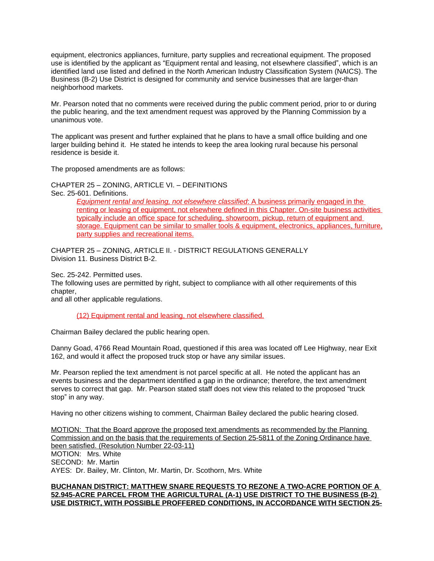equipment, electronics appliances, furniture, party supplies and recreational equipment. The proposed use is identified by the applicant as "Equipment rental and leasing, not elsewhere classified", which is an identified land use listed and defined in the North American Industry Classification System (NAICS). The Business (B-2) Use District is designed for community and service businesses that are larger-than neighborhood markets.

Mr. Pearson noted that no comments were received during the public comment period, prior to or during the public hearing, and the text amendment request was approved by the Planning Commission by a unanimous vote.

The applicant was present and further explained that he plans to have a small office building and one larger building behind it. He stated he intends to keep the area looking rural because his personal residence is beside it.

The proposed amendments are as follows:

CHAPTER 25 – ZONING, ARTICLE VI. – DEFINITIONS

Sec. 25-601. Definitions.

*Equipment rental and leasing, not elsewhere classified*: A business primarily engaged in the renting or leasing of equipment, not elsewhere defined in this Chapter. On-site business activities typically include an office space for scheduling, showroom, pickup, return of equipment and storage. Equipment can be similar to smaller tools & equipment, electronics, appliances, furniture, party supplies and recreational items.

CHAPTER 25 – ZONING, ARTICLE II. - DISTRICT REGULATIONS GENERALLY Division 11. Business District B-2.

Sec. 25-242. Permitted uses.

The following uses are permitted by right, subject to compliance with all other requirements of this chapter,

and all other applicable regulations.

(12) Equipment rental and leasing, not elsewhere classified.

Chairman Bailey declared the public hearing open.

Danny Goad, 4766 Read Mountain Road, questioned if this area was located off Lee Highway, near Exit 162, and would it affect the proposed truck stop or have any similar issues.

Mr. Pearson replied the text amendment is not parcel specific at all. He noted the applicant has an events business and the department identified a gap in the ordinance; therefore, the text amendment serves to correct that gap. Mr. Pearson stated staff does not view this related to the proposed "truck stop" in any way.

Having no other citizens wishing to comment, Chairman Bailey declared the public hearing closed.

MOTION: That the Board approve the proposed text amendments as recommended by the Planning Commission and on the basis that the requirements of Section 25-5811 of the Zoning Ordinance have been satisfied. (Resolution Number 22-03-11) MOTION: Mrs. White SECOND: Mr. Martin AYES: Dr. Bailey, Mr. Clinton, Mr. Martin, Dr. Scothorn, Mrs. White

### **BUCHANAN DISTRICT: MATTHEW SNARE REQUESTS TO REZONE A TWO-ACRE PORTION OF A 52.945-ACRE PARCEL FROM THE AGRICULTURAL (A-1) USE DISTRICT TO THE BUSINESS (B-2) USE DISTRICT, WITH POSSIBLE PROFFERED CONDITIONS, IN ACCORDANCE WITH SECTION 25-**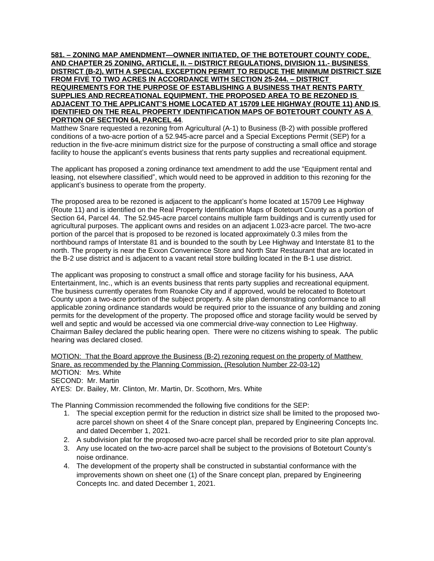**581. – ZONING MAP AMENDMENT—OWNER INITIATED, OF THE BOTETOURT COUNTY CODE, AND CHAPTER 25 ZONING, ARTICLE, II. – DISTRICT REGULATIONS, DIVISION 11.- BUSINESS DISTRICT (B-2), WITH A SPECIAL EXCEPTION PERMIT TO REDUCE THE MINIMUM DISTRICT SIZE FROM FIVE TO TWO ACRES IN ACCORDANCE WITH SECTION 25-244. – DISTRICT REQUIREMENTS FOR THE PURPOSE OF ESTABLISHING A BUSINESS THAT RENTS PARTY SUPPLIES AND RECREATIONAL EQUIPMENT. THE PROPOSED AREA TO BE REZONED IS ADJACENT TO THE APPLICANT'S HOME LOCATED AT 15709 LEE HIGHWAY (ROUTE 11) AND IS IDENTIFIED ON THE REAL PROPERTY IDENTIFICATION MAPS OF BOTETOURT COUNTY AS A PORTION OF SECTION 64, PARCEL 44**.

Matthew Snare requested a rezoning from Agricultural (A-1) to Business (B-2) with possible proffered conditions of a two-acre portion of a 52.945-acre parcel and a Special Exceptions Permit (SEP) for a reduction in the five-acre minimum district size for the purpose of constructing a small office and storage facility to house the applicant's events business that rents party supplies and recreational equipment.

The applicant has proposed a zoning ordinance text amendment to add the use "Equipment rental and leasing, not elsewhere classified", which would need to be approved in addition to this rezoning for the applicant's business to operate from the property.

The proposed area to be rezoned is adjacent to the applicant's home located at 15709 Lee Highway (Route 11) and is identified on the Real Property Identification Maps of Botetourt County as a portion of Section 64, Parcel 44. The 52.945-acre parcel contains multiple farm buildings and is currently used for agricultural purposes. The applicant owns and resides on an adjacent 1.023-acre parcel. The two-acre portion of the parcel that is proposed to be rezoned is located approximately 0.3 miles from the northbound ramps of Interstate 81 and is bounded to the south by Lee Highway and Interstate 81 to the north. The property is near the Exxon Convenience Store and North Star Restaurant that are located in the B-2 use district and is adjacent to a vacant retail store building located in the B-1 use district.

The applicant was proposing to construct a small office and storage facility for his business, AAA Entertainment, Inc., which is an events business that rents party supplies and recreational equipment. The business currently operates from Roanoke City and if approved, would be relocated to Botetourt County upon a two-acre portion of the subject property. A site plan demonstrating conformance to all applicable zoning ordinance standards would be required prior to the issuance of any building and zoning permits for the development of the property. The proposed office and storage facility would be served by well and septic and would be accessed via one commercial drive-way connection to Lee Highway. Chairman Bailey declared the public hearing open. There were no citizens wishing to speak. The public hearing was declared closed.

MOTION: That the Board approve the Business (B-2) rezoning request on the property of Matthew Snare, as recommended by the Planning Commission, (Resolution Number 22-03-12) MOTION: Mrs. White SECOND: Mr. Martin AYES: Dr. Bailey, Mr. Clinton, Mr. Martin, Dr. Scothorn, Mrs. White

The Planning Commission recommended the following five conditions for the SEP:

- 1. The special exception permit for the reduction in district size shall be limited to the proposed twoacre parcel shown on sheet 4 of the Snare concept plan, prepared by Engineering Concepts Inc. and dated December 1, 2021.
- 2. A subdivision plat for the proposed two-acre parcel shall be recorded prior to site plan approval.
- 3. Any use located on the two-acre parcel shall be subject to the provisions of Botetourt County's noise ordinance.
- 4. The development of the property shall be constructed in substantial conformance with the improvements shown on sheet one (1) of the Snare concept plan, prepared by Engineering Concepts Inc. and dated December 1, 2021.